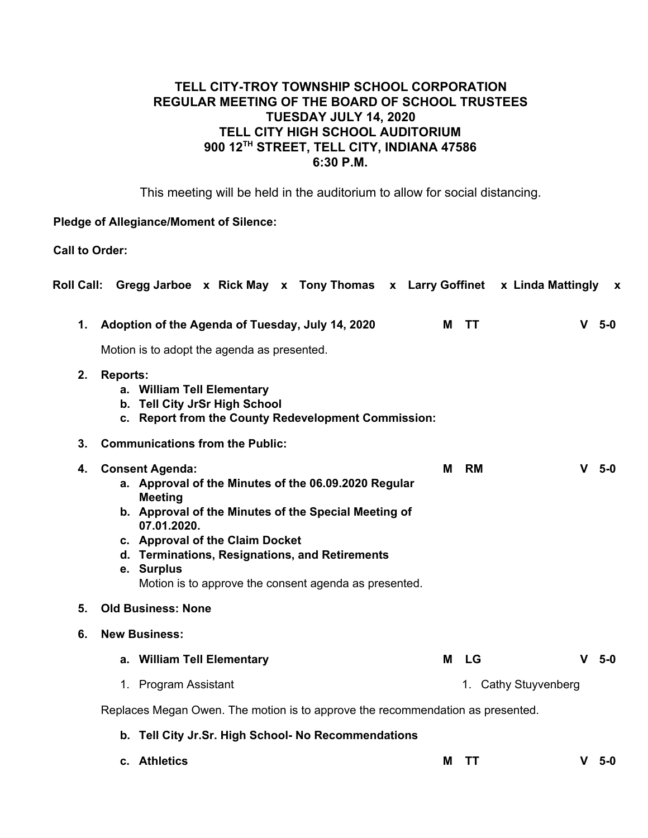# **TELL CITY-TROY TOWNSHIP SCHOOL CORPORATION REGULAR MEETING OF THE BOARD OF SCHOOL TRUSTEES TUESDAY JULY 14, 2020 TELL CITY HIGH SCHOOL AUDITORIUM 900 12TH STREET, TELL CITY, INDIANA 47586 6:30 P.M.**

This meeting will be held in the auditorium to allow for social distancing.

#### **Pledge of Allegiance/Moment of Silence:**

**Call to Order:**

|    | Roll Call: Gregg Jarboe x Rick May x Tony Thomas x Larry Goffinet x Linda Mattingly                                                                                                                                                                                                                                                 |   |                      | $\mathbf{x}$        |  |  |
|----|-------------------------------------------------------------------------------------------------------------------------------------------------------------------------------------------------------------------------------------------------------------------------------------------------------------------------------------|---|----------------------|---------------------|--|--|
| 1. | Adoption of the Agenda of Tuesday, July 14, 2020                                                                                                                                                                                                                                                                                    | М | <b>TT</b>            | $\mathbf{V}$<br>5-0 |  |  |
|    | Motion is to adopt the agenda as presented.                                                                                                                                                                                                                                                                                         |   |                      |                     |  |  |
| 2. | <b>Reports:</b><br>a. William Tell Elementary<br>b. Tell City JrSr High School<br>c. Report from the County Redevelopment Commission:                                                                                                                                                                                               |   |                      |                     |  |  |
| 3. | <b>Communications from the Public:</b>                                                                                                                                                                                                                                                                                              |   |                      |                     |  |  |
| 4. | <b>Consent Agenda:</b><br>a. Approval of the Minutes of the 06.09.2020 Regular<br><b>Meeting</b><br>b. Approval of the Minutes of the Special Meeting of<br>07.01.2020.<br>c. Approval of the Claim Docket<br>d. Terminations, Resignations, and Retirements<br>e. Surplus<br>Motion is to approve the consent agenda as presented. | М | <b>RM</b>            | $V$ 5-0             |  |  |
| 5. | <b>Old Business: None</b>                                                                                                                                                                                                                                                                                                           |   |                      |                     |  |  |
| 6. | <b>New Business:</b>                                                                                                                                                                                                                                                                                                                |   |                      |                     |  |  |
|    | a. William Tell Elementary                                                                                                                                                                                                                                                                                                          | M | LG                   | v<br>5-0            |  |  |
|    | 1. Program Assistant                                                                                                                                                                                                                                                                                                                |   | 1. Cathy Stuyvenberg |                     |  |  |
|    | Replaces Megan Owen. The motion is to approve the recommendation as presented.                                                                                                                                                                                                                                                      |   |                      |                     |  |  |
|    | b. Tell City Jr.Sr. High School- No Recommendations                                                                                                                                                                                                                                                                                 |   |                      |                     |  |  |
|    | c. Athletics                                                                                                                                                                                                                                                                                                                        | М | TТ                   | $V$ 5-0             |  |  |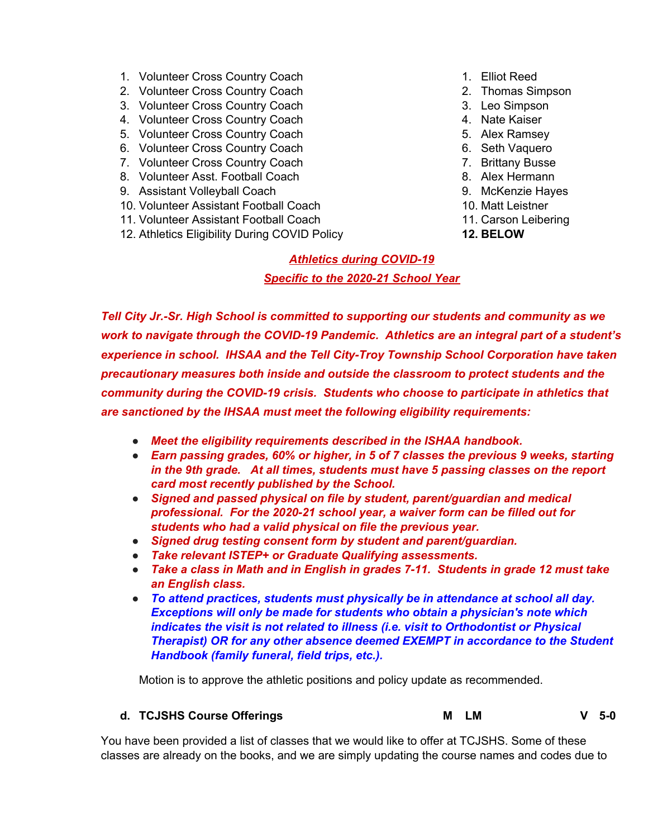- 1. Volunteer Cross Country Coach
- 2. Volunteer Cross Country Coach
- 3. Volunteer Cross Country Coach
- 4. Volunteer Cross Country Coach
- 5. Volunteer Cross Country Coach
- 6. Volunteer Cross Country Coach
- 7. Volunteer Cross Country Coach
- 8. Volunteer Asst. Football Coach
- 9. Assistant Volleyball Coach
- 10. Volunteer Assistant Football Coach
- 11. Volunteer Assistant Football Coach
- 12. Athletics Eligibility During COVID Policy
- 1. Elliot Reed
- 2. Thomas Simpson
- 3. Leo Simpson
- 4. Nate Kaiser
- 5. Alex Ramsey
- 6. Seth Vaquero
- 7. Brittany Busse
- 8. Alex Hermann
- 9. McKenzie Hayes
- 10. Matt Leistner
- 11. Carson Leibering
- **12. BELOW**

# *Athletics during COVID-19 Specific to the 2020-21 School Year*

*Tell City Jr.-Sr. High School is committed to supporting our students and community as we work to navigate through the COVID-19 Pandemic. Athletics are an integral part of a student's experience in school. IHSAA and the Tell City-Troy Township School Corporation have taken precautionary measures both inside and outside the classroom to protect students and the community during the COVID-19 crisis. Students who choose to participate in athletics that are sanctioned by the IHSAA must meet the following eligibility requirements:*

- **●** *Meet the eligibility requirements described in the ISHAA handbook.*
- **●** *Earn passing grades, 60% or higher, in 5 of 7 classes the previous 9 weeks, starting in the 9th grade. At all times, students must have 5 passing classes on the report card most recently published by the School.*
- **●** *Signed and passed physical on file by student, parent/guardian and medical professional. For the 2020-21 school year, a waiver form can be filled out for students who had a valid physical on file the previous year.*
- **●** *Signed drug testing consent form by student and parent/guardian.*
- **●** *Take relevant ISTEP+ or Graduate Qualifying assessments.*
- **●** *Take a class in Math and in English in grades 7-11. Students in grade 12 must take an English class.*
- **●** *To attend practices, students must physically be in attendance at school all day. Exceptions will only be made for students who obtain a physician's note which indicates the visit is not related to illness (i.e. visit to Orthodontist or Physical Therapist) OR for any other absence deemed EXEMPT in accordance to the Student Handbook (family funeral, field trips, etc.).*

Motion is to approve the athletic positions and policy update as recommended.

#### **d. TCJSHS Course Offerings M LM V 5-0**

You have been provided a list of classes that we would like to offer at TCJSHS. Some of these classes are already on the books, and we are simply updating the course names and codes due to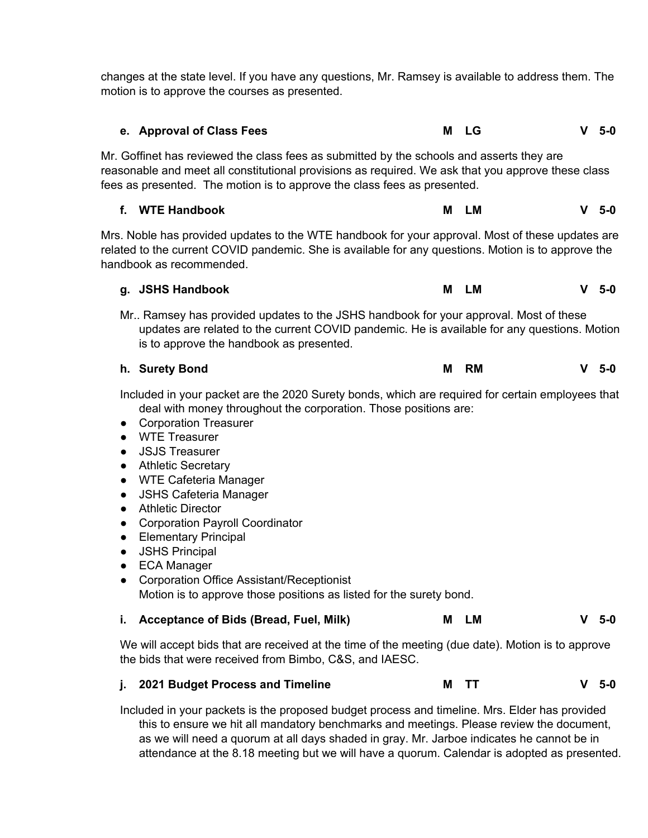changes at the state level. If you have any questions, Mr. Ramsey is available to address them. The motion is to approve the courses as presented.

| e. Approval of Class Fees                                                                                                                                                                                                                                                   | M LG | -5-0   |  |  |
|-----------------------------------------------------------------------------------------------------------------------------------------------------------------------------------------------------------------------------------------------------------------------------|------|--------|--|--|
| Mr. Goffinet has reviewed the class fees as submitted by the schools and asserts they are<br>reasonable and meet all constitutional provisions as required. We ask that you approve these class<br>fees as presented. The motion is to approve the class fees as presented. |      |        |  |  |
| f. WTE Handbook                                                                                                                                                                                                                                                             | M LM | $V5-0$ |  |  |

Mrs. Noble has provided updates to the WTE handbook for your approval. Most of these updates are related to the current COVID pandemic. She is available for any questions. Motion is to approve the handbook as recommended.

|  | g. JSHS Handbook | M LM | $V$ 5-0 |
|--|------------------|------|---------|
|--|------------------|------|---------|

Mr.. Ramsey has provided updates to the JSHS handbook for your approval. Most of these updates are related to the current COVID pandemic. He is available for any questions. Motion is to approve the handbook as presented.

| h. Surety Bond | RM<br>Μ | $V$ 5-0 |
|----------------|---------|---------|
|                |         |         |

Included in your packet are the 2020 Surety bonds, which are required for certain employees that deal with money throughout the corporation. Those positions are:

- Corporation Treasurer
- WTE Treasurer
- JSJS Treasurer
- Athletic Secretary
- WTE Cafeteria Manager
- JSHS Cafeteria Manager
- Athletic Director
- Corporation Payroll Coordinator
- Elementary Principal
- JSHS Principal
- ECA Manager
- Corporation Office Assistant/Receptionist Motion is to approve those positions as listed for the surety bond.
- **i. Acceptance of Bids (Bread, Fuel, Milk) M LM V 5-0**

We will accept bids that are received at the time of the meeting (due date). Motion is to approve the bids that were received from Bimbo, C&S, and IAESC.

### **j. 2021 Budget Process and Timeline M TT V 5-0**

Included in your packets is the proposed budget process and timeline. Mrs. Elder has provided this to ensure we hit all mandatory benchmarks and meetings. Please review the document, as we will need a quorum at all days shaded in gray. Mr. Jarboe indicates he cannot be in attendance at the 8.18 meeting but we will have a quorum. Calendar is adopted as presented.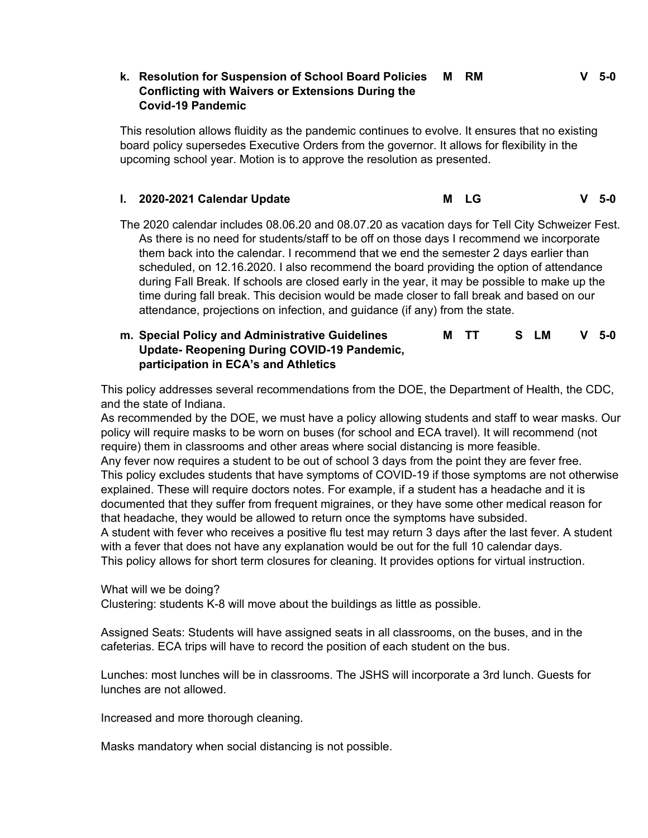#### **k. Resolution for Suspension of School Board Policies M RM V 5-0 Conflicting with Waivers or Extensions During the Covid-19 Pandemic**

This resolution allows fluidity as the pandemic continues to evolve. It ensures that no existing board policy supersedes Executive Orders from the governor. It allows for flexibility in the upcoming school year. Motion is to approve the resolution as presented.

# **l. 2020-2021 Calendar Update M LG V 5-0**

The 2020 calendar includes 08.06.20 and 08.07.20 as vacation days for Tell City Schweizer Fest. As there is no need for students/staff to be off on those days I recommend we incorporate them back into the calendar. I recommend that we end the semester 2 days earlier than scheduled, on 12.16.2020. I also recommend the board providing the option of attendance during Fall Break. If schools are closed early in the year, it may be possible to make up the time during fall break. This decision would be made closer to fall break and based on our attendance, projections on infection, and guidance (if any) from the state.

#### **m. Special Policy and Administrative Guidelines Update- Reopening During COVID-19 Pandemic, participation in ECA's and Athletics M TT S LM V 5-0**

This policy addresses several recommendations from the DOE, the Department of Health, the CDC, and the state of Indiana.

As recommended by the DOE, we must have a policy allowing students and staff to wear masks. Our policy will require masks to be worn on buses (for school and ECA travel). It will recommend (not require) them in classrooms and other areas where social distancing is more feasible. Any fever now requires a student to be out of school 3 days from the point they are fever free. This policy excludes students that have symptoms of COVID-19 if those symptoms are not otherwise explained. These will require doctors notes. For example, if a student has a headache and it is documented that they suffer from frequent migraines, or they have some other medical reason for that headache, they would be allowed to return once the symptoms have subsided. A student with fever who receives a positive flu test may return 3 days after the last fever. A student with a fever that does not have any explanation would be out for the full 10 calendar days. This policy allows for short term closures for cleaning. It provides options for virtual instruction.

What will we be doing?

Clustering: students K-8 will move about the buildings as little as possible.

Assigned Seats: Students will have assigned seats in all classrooms, on the buses, and in the cafeterias. ECA trips will have to record the position of each student on the bus.

Lunches: most lunches will be in classrooms. The JSHS will incorporate a 3rd lunch. Guests for lunches are not allowed.

Increased and more thorough cleaning.

Masks mandatory when social distancing is not possible.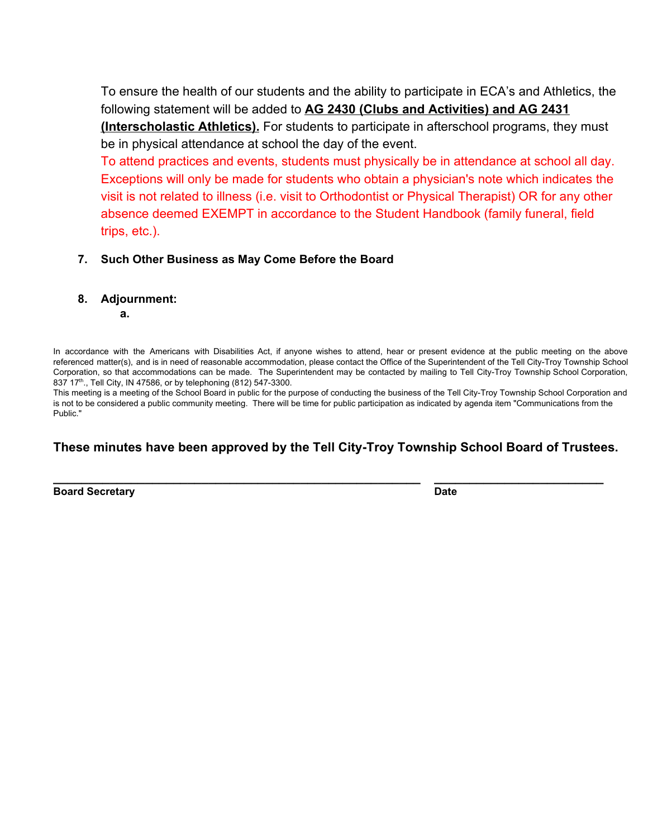To ensure the health of our students and the ability to participate in ECA's and Athletics, the following statement will be added to **AG 2430 (Clubs and Activities) and AG 2431 (Interscholastic Athletics).** For students to participate in afterschool programs, they must be in physical attendance at school the day of the event.

To attend practices and events, students must physically be in attendance at school all day. Exceptions will only be made for students who obtain a physician's note which indicates the visit is not related to illness (i.e. visit to Orthodontist or Physical Therapist) OR for any other absence deemed EXEMPT in accordance to the Student Handbook (family funeral, field trips, etc.).

### **7. Such Other Business as May Come Before the Board**

**8. Adjournment:**

**a.**

In accordance with the Americans with Disabilities Act, if anyone wishes to attend, hear or present evidence at the public meeting on the above referenced matter(s), and is in need of reasonable accommodation, please contact the Office of the Superintendent of the Tell City-Troy Township School Corporation, so that accommodations can be made. The Superintendent may be contacted by mailing to Tell City-Troy Township School Corporation, 837 17<sup>th</sup>., Tell City, IN 47586, or by telephoning (812) 547-3300.

This meeting is a meeting of the School Board in public for the purpose of conducting the business of the Tell City-Troy Township School Corporation and is not to be considered a public community meeting. There will be time for public participation as indicated by agenda item "Communications from the Public."

# **These minutes have been approved by the Tell City-Troy Township School Board of Trustees.**

**\_\_\_\_\_\_\_\_\_\_\_\_\_\_\_\_\_\_\_\_\_\_\_\_\_\_\_\_\_\_\_\_\_\_\_\_\_\_\_\_\_\_\_\_\_\_\_\_\_\_\_\_ \_\_\_\_\_\_\_\_\_\_\_\_\_\_\_\_\_\_\_\_\_\_\_\_**

**Board Secretary Date**